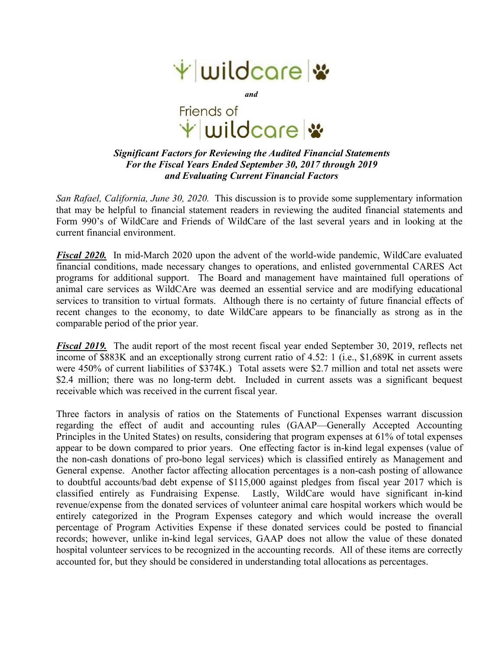

*and*

Friends of \* wildcare \*

## *Significant Factors for Reviewing the Audited Financial Statements For the Fiscal Years Ended September 30, 2017 through 2019 and Evaluating Current Financial Factors*

*San Rafael, California, June 30, 2020.* This discussion is to provide some supplementary information that may be helpful to financial statement readers in reviewing the audited financial statements and Form 990's of WildCare and Friends of WildCare of the last several years and in looking at the current financial environment.

*Fiscal 2020.* In mid-March 2020 upon the advent of the world-wide pandemic, WildCare evaluated financial conditions, made necessary changes to operations, and enlisted governmental CARES Act programs for additional support. The Board and management have maintained full operations of animal care services as WildCAre was deemed an essential service and are modifying educational services to transition to virtual formats. Although there is no certainty of future financial effects of recent changes to the economy, to date WildCare appears to be financially as strong as in the comparable period of the prior year.

*Fiscal 2019.* The audit report of the most recent fiscal year ended September 30,2019, reflects net income of \$883K and an exceptionally strong current ratio of 4.52: 1 (i.e., \$1,689K in current assets were 450% of current liabilities of \$374K.) Total assets were \$2.7 million and total net assets were \$2.4 million; there was no long-term debt. Included in current assets was a significant bequest receivable which was received in the current fiscal year.

Three factors in analysis of ratios on the Statements of Functional Expenses warrant discussion regarding the effect of audit and accounting rules (GAAP—Generally Accepted Accounting Principles in the United States) on results, considering that program expenses at 61% of total expenses appear to be down compared to prior years. One effecting factor is in-kind legal expenses (value of the non-cash donations of pro-bono legal services) which is classified entirely as Management and General expense. Another factor affecting allocation percentages is a non-cash posting of allowance to doubtful accounts/bad debt expense of \$115,000 against pledges from fiscal year 2017 which is classified entirely as Fundraising Expense. Lastly, WildCare would have significant in-kind revenue/expense from the donated services of volunteer animal care hospital workers which would be entirely categorized in the Program Expenses category and which would increase the overall percentage of Program Activities Expense if these donated services could be posted to financial records; however, unlike in-kind legal services, GAAP does not allow the value of these donated hospital volunteer services to be recognized in the accounting records. All of these items are correctly accounted for, but they should be considered in understanding total allocations as percentages.